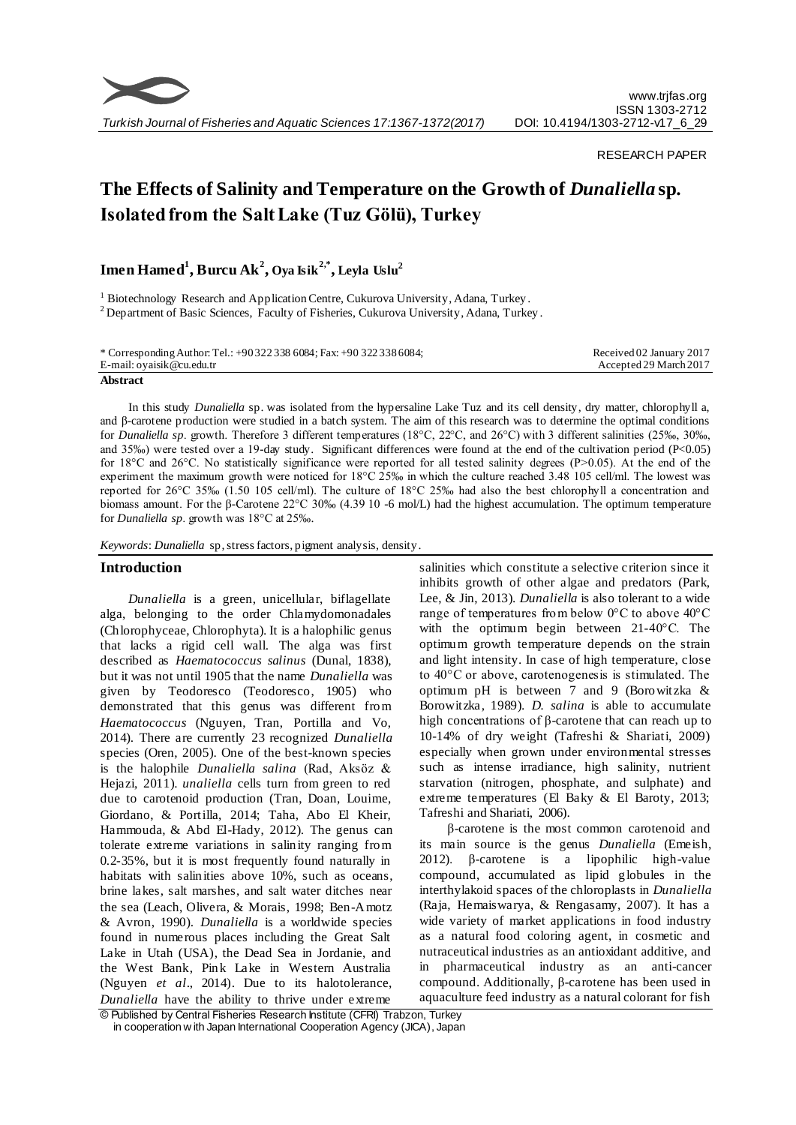

*Turkish Journal of Fisheries and Aquatic Sciences 17:1367-1372(2017)*

## RESEARCH PAPER

# **The Effects of Salinity and Temperature on the Growth of** *Dunaliella* **sp. Isolated from the Salt Lake (Tuz Gölü), Turkey**

**Imen Hamed<sup>1</sup> , Burcu Ak<sup>2</sup> , Oya Isik 2,\* , Leyla Uslu<sup>2</sup>**

<sup>1</sup> Biotechnology Research and Application Centre, Cukurova University, Adana, Turkey. <sup>2</sup> Department of Basic Sciences, Faculty of Fisheries, Cukurova University, Adana, Turkey.

\* Corresponding Author: Tel.: +90 322 338 6084; Fax: +90 322 338 6084; E-mail: oyaisik@cu.edu.tr

Received 02 January 2017 Accepted 29 March 2017

**Abstract**

In this study *Dunaliella* sp. was isolated from the hypersaline Lake Tuz and its cell density, dry matter, chlorophyll a, and β-carotene production were studied in a batch system. The aim of this research was to determine the optimal conditions for *Dunaliella sp*. growth. Therefore 3 different temperatures (18°C, 22°C, and 26°C) with 3 different salinities (25‰, 30‰, and 35‰) were tested over a 19-day study. Significant differences were found at the end of the cultivation period ( $P<0.05$ ) for 18 $^{\circ}$ C and 26 $^{\circ}$ C. No statistically significance were reported for all tested salinity degrees (P>0.05). At the end of the experiment the maximum growth were noticed for 18°C 25‰ in which the culture reached 3.48 105 cell/ml. The lowest was reported for 26°C 35‰ (1.50 105 cell/ml). The culture of 18°C 25‰ had also the best chlorophyll a concentration and biomass amount. For the β-Carotene 22°C 30‰ (4.39 10 -6 mol/L) had the highest accumulation. The optimum temperature for *Dunaliella sp*. growth was 18°C at 25‰.

*Keywords*: *Dunaliella* sp, stress factors, pigment analysis, density.

## **Introduction**

*Dunaliella* is a green, unicellular, biflagellate alga, belonging to the order Chlamydomonadales (Chlorophyceae, Chlorophyta). It is a halophilic genus that lacks a rigid cell wall. The alga was first described as *Haematococcus salinus* (Dunal, 1838), but it was not until 1905 that the name *Dunaliella* was given by Teodoresco (Teodoresco, 1905) who demonstrated that this genus was different from *Haematococcus* (Nguyen, Tran, Portilla and Vo, 2014). There are currently 23 recognized *Dunaliella*  species (Oren, 2005). One of the best-known species is the halophile *Dunaliella salina* (Rad, Aksöz & Hejazi, 2011). *unaliella* cells turn from green to red due to carotenoid production (Tran, Doan, Louime, Giordano, & Portilla, 2014; Taha, Abo El Kheir, Hammouda, & Abd El-Hady, 2012). The genus can tolerate extreme variations in salinity ranging from 0.2-35%, but it is most frequently found naturally in habitats with salinities above 10%, such as oceans, brine lakes, salt marshes, and salt water ditches near the sea (Leach, Olivera, & Morais, 1998; Ben-Amotz & Avron, 1990). *Dunaliella* is a worldwide species found in numerous places including the Great Salt Lake in Utah (USA), the Dead Sea in Jordanie, and the West Bank, Pink Lake in Western Australia (Nguyen *et al*., 2014). Due to its halotolerance, *Dunaliella* have the ability to thrive under extreme

salinities which constitute a selective criterion since it inhibits growth of other algae and predators (Park, Lee, & Jin, 2013). *Dunaliella* is also tolerant to a wide range of temperatures from below 0°C to above 40°C with the optimum begin between 21-40°C. The optimum growth temperature depends on the strain and light intensity. In case of high temperature, close to 40°C or above, carotenogenesis is stimulated. The optimum pH is between 7 and 9 (Borowitzka & Borowitzka, 1989). *D. salina* is able to accumulate high concentrations of β-carotene that can reach up to 10-14% of dry weight (Tafreshi & Shariati, 2009) especially when grown under environmental stresses such as intense irradiance, high salinity, nutrient starvation (nitrogen, phosphate, and sulphate) and extreme temperatures (El Baky & El Baroty, 2013; Tafreshi and Shariati, 2006).

β-carotene is the most common carotenoid and its main source is the genus *Dunaliella* (Emeish, 2012). β-carotene is a lipophilic high-value compound, accumulated as lipid globules in the interthylakoid spaces of the chloroplasts in *Dunaliella*  (Raja, Hemaiswarya, & Rengasamy, 2007). It has a wide variety of market applications in food industry as a natural food coloring agent, in cosmetic and nutraceutical industries as an antioxidant additive, and in pharmaceutical industry as an anti-cancer compound. Additionally, β-carotene has been used in aquaculture feed industry as a natural colorant for fish

© Published by Central Fisheries Research Institute (CFRI) Trabzon, Turkey in cooperation w ith Japan International Cooperation Agency (JICA), Japan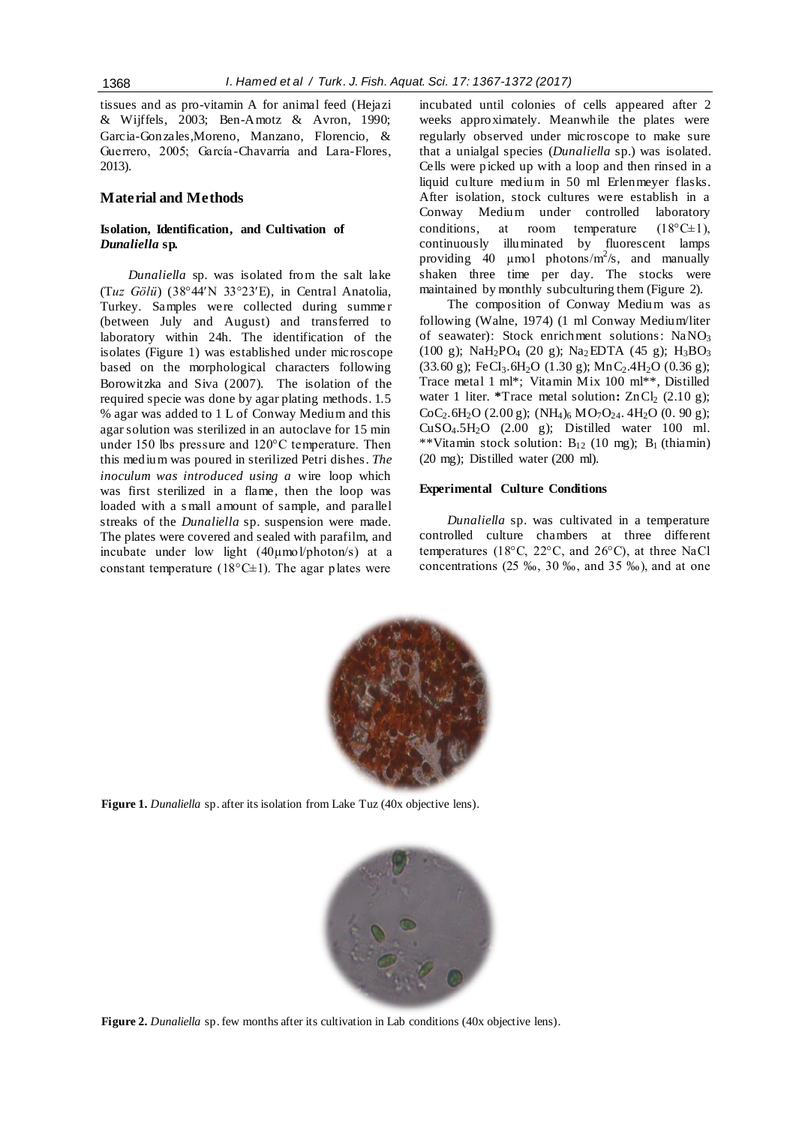tissues and as pro-vitamin A for animal feed (Hejazi & Wijffels, 2003; Ben-Amotz & Avron, 1990; Garcia-Gonzales,Moreno, Manzano, Florencio, & Guerrero, 2005; García -Chavarría and Lara-Flores, 2013).

## **Material and Methods**

# **Isolation, Identification, and Cultivation of**  *Dunaliella* **sp.**

*Dunaliella* sp*.* was isolated from the salt lake (T*uz Gölü*) (38°44′N 33°23′E), in Central Anatolia, Turkey. Samples were collected during summe r (between July and August) and transferred to laboratory within 24h. The identification of the isolates (Figure 1) was established under microscope based on the morphological characters following Borowitzka and Siva (2007). The isolation of the required specie was done by agar plating methods. 1.5 % agar was added to 1 L of Conway Medium and this agar solution was sterilized in an autoclave for 15 min under 150 lbs pressure and 120°C temperature. Then this medium was poured in sterilized Petri dishes*. The inoculum was introduced using a* wire loop which was first sterilized in a flame, then the loop was loaded with a s mall amount of sample, and parallel streaks of the *Dunaliella* sp. suspension were made. The plates were covered and sealed with parafilm, and incubate under low light (40µmol/photon/s) at a constant temperature ( $18^{\circ}$ C $\pm$ 1). The agar plates were

incubated until colonies of cells appeared after 2 weeks approximately. Meanwhile the plates were regularly observed under microscope to make sure that a unialgal species (*Dunaliella* sp.) was isolated. Cells were picked up with a loop and then rinsed in a liquid culture medium in 50 ml Erlenmeyer flasks. After isolation, stock cultures were establish in a Conway Medium under controlled laboratory conditions, at room temperature  $(18^{\circ}C \pm 1)$ , continuously illuminated by fluorescent lamps providing 40  $\mu$ mol photons/m<sup>2</sup>/s, and manually shaken three time per day. The stocks were maintained by monthly subculturing them (Figure 2).

The composition of Conway Medium was as following (Walne, 1974) (1 ml Conway Medium/liter of seawater): Stock enrichment solutions: NaNO<sub>3</sub> (100 g); NaH<sub>2</sub>PO<sub>4</sub> (20 g); Na<sub>2</sub>EDTA (45 g); H<sub>3</sub>BO<sub>3</sub> (33.60 g); FeCI<sub>3</sub>.6H<sub>2</sub>O (1.30 g); MnC<sub>2</sub>.4H<sub>2</sub>O (0.36 g); Trace metal 1 ml\*; Vitamin Mix 100 ml\*\*, Distilled water 1 liter. *\**Trace metal solution:  $ZnCl<sub>2</sub>$  (2.10 g);  $CoC<sub>2</sub>.6H<sub>2</sub>O$  (2.00 g); (NH<sub>4</sub>)<sub>6</sub> MO<sub>7</sub>O<sub>24</sub>. 4H<sub>2</sub>O (0. 90 g); CuSO4.5H2O (2.00 g); Distilled water 100 ml. \*\*Vitamin stock solution:  $B_{12}$  (10 mg);  $B_1$  (thiamin) (20 mg); Distilled water (200 ml).

# **Experimental Culture Conditions**

*Dunaliella* sp. was cultivated in a temperature controlled culture chambers at three different temperatures (18°C, 22°C, and 26°C), at three NaCl concentrations (25 ‰, 30 ‰, and 35 ‰), and at one



**Figure 1.** *Dunaliella* sp. after its isolation from Lake Tuz (40x objective lens).



**Figure 2.** *Dunaliella* sp. few months after its cultivation in Lab conditions (40x objective lens).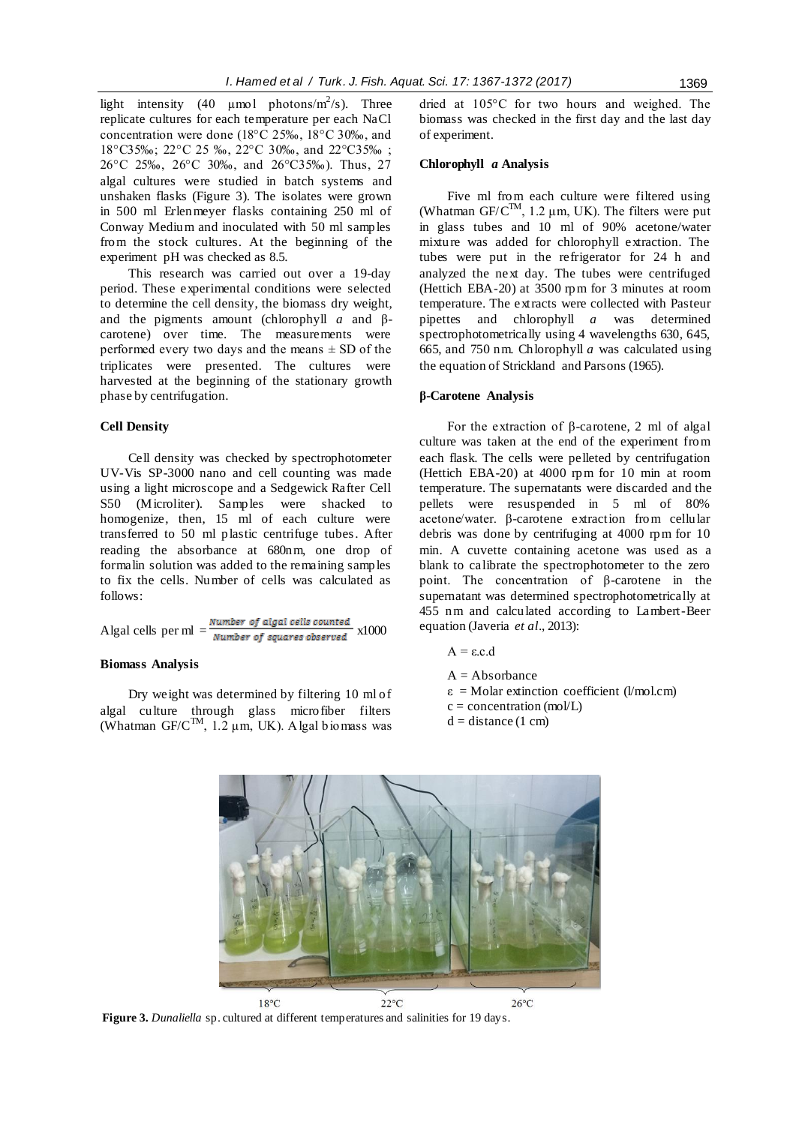light intensity (40  $\mu$ mol photons/m<sup>2</sup>/s). Three replicate cultures for each temperature per each NaCl concentration were done (18°C 25‰, 18°C 30‰, and 18°C35‰; 22°C 25 ‰, 22°C 30‰, and 22°C35‰ ; 26°C 25‰, 26°C 30‰, and 26°C35‰). Thus, 27 algal cultures were studied in batch systems and unshaken flasks (Figure 3). The isolates were grown in 500 ml Erlenmeyer flasks containing 250 ml of Conway Medium and inoculated with 50 ml samples from the stock cultures. At the beginning of the experiment pH was checked as 8.5.

This research was carried out over a 19-day period. These experimental conditions were selected to determine the cell density, the biomass dry weight, and the pigments amount (chlorophyll *a* and βcarotene) over time. The measurements were performed every two days and the means  $\pm$  SD of the triplicates were presented. The cultures were harvested at the beginning of the stationary growth phase by centrifugation.

#### **Cell Density**

Cell density was checked by spectrophotometer UV-Vis SP-3000 nano and cell counting was made using a light microscope and a Sedgewick Rafter Cell S50 (Microliter). Samples were shacked to homogenize, then, 15 ml of each culture were transferred to 50 ml plastic centrifuge tubes. After reading the absorbance at 680nm, one drop of formalin solution was added to the remaining samples to fix the cells. Number of cells was calculated as follows:

Algal cells per ml  $=$   $\frac{Number\ of\ adjacent\ cells\ counted}{Number\ of\ squares\ observed}$  x1000

### **Biomass Analysis**

Dry weight was determined by filtering 10 ml of algal culture through glass microfiber filters (Whatman GF/C<sup>TM</sup>, 1.2  $\mu$ m, UK). Algal biomass was dried at 105°C for two hours and weighed. The biomass was checked in the first day and the last day of experiment.

#### **Chlorophyll** *a* **Analysis**

Five ml from each culture were filtered using (Whatman  $GF/C^{TM}$ , 1.2  $\mu$ m, UK). The filters were put in glass tubes and 10 ml of 90% acetone/water mixture was added for chlorophyll extraction. The tubes were put in the refrigerator for 24 h and analyzed the next day. The tubes were centrifuged (Hettich EBA-20) at 3500 rpm for 3 minutes at room temperature. The extracts were collected with Pasteur pipettes and chlorophyll *a* was determined spectrophotometrically using 4 wavelengths 630, 645, 665, and 750 nm. Chlorophyll *a* was calculated using the equation of Strickland and Parsons (1965).

#### **β-Carotene Analysis**

For the extraction of β-carotene, 2 ml of algal culture was taken at the end of the experiment from each flask. The cells were pelleted by centrifugation (Hettich EBA-20) at 4000 rpm for 10 min at room temperature. The supernatants were discarded and the pellets were resuspended in 5 ml of 80% acetone/water. β-carotene extraction from cellular debris was done by centrifuging at 4000 rpm for 10 min. A cuvette containing acetone was used as a blank to calibrate the spectrophotometer to the zero point. The concentration of β-carotene in the supernatant was determined spectrophotometrically at 455 nm and calculated according to Lambert-Beer equation (Javeria *et al*., 2013):

$$
A = \varepsilon.c.d
$$

 $A = Absorbance$ 

- $\epsilon$  = Molar extinction coefficient (l/mol.cm)
- $c = concentration (mol/L)$
- $d = distance(1 cm)$



**Figure 3.** *Dunaliella* sp. cultured at different temperatures and salinities for 19 days.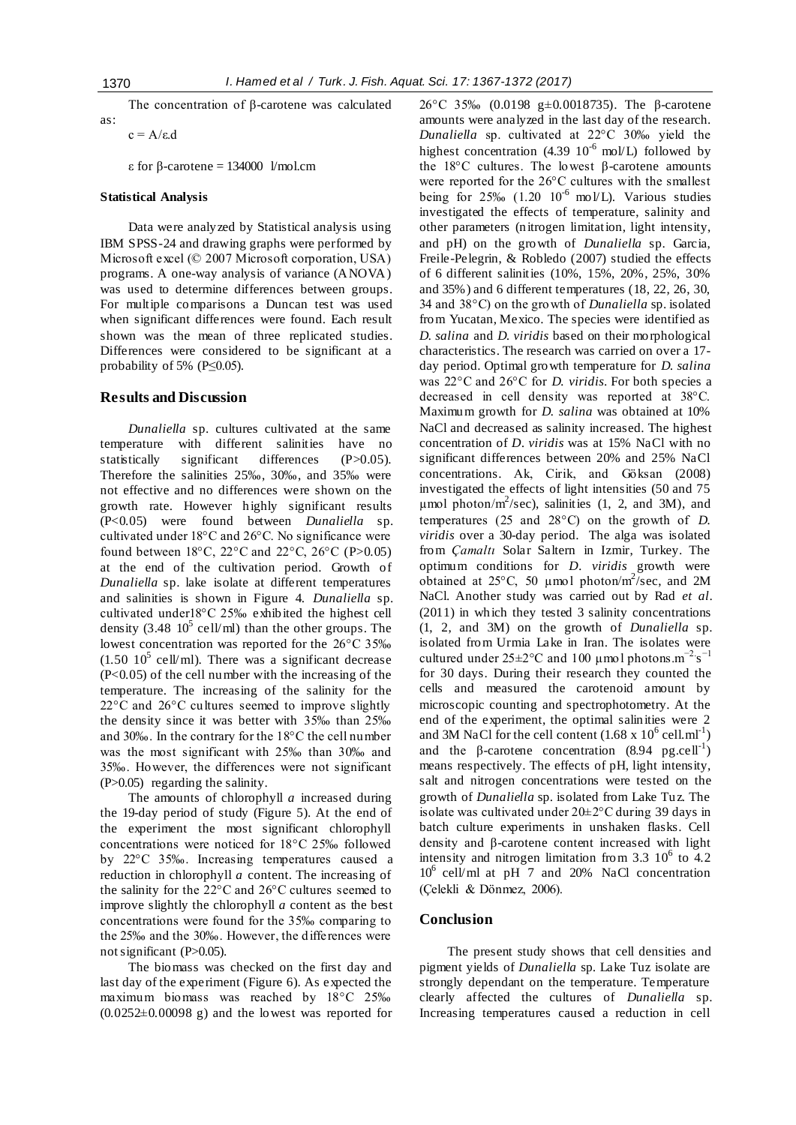The concentration of β-carotene was calculated as:

 $c = A/\epsilon.d$ 

ε for β-carotene = 134000 l/mol.cm

### **Statistical Analysis**

Data were analyzed by Statistical analysis using IBM SPSS-24 and drawing graphs were performed by Microsoft excel (© 2007 Microsoft corporation, USA) programs. A one-way analysis of variance (ANOVA) was used to determine differences between groups. For multiple comparisons a Duncan test was used when significant differences were found. Each result shown was the mean of three replicated studies. Differences were considered to be significant at a probability of 5% ( $P \le 0.05$ ).

### **Results and Discussion**

*Dunaliella* sp. cultures cultivated at the same temperature with different salinities have no statistically significant differences (P>0.05). Therefore the salinities 25‰, 30‰, and 35‰ were not effective and no differences were shown on the growth rate. However highly significant results (P<0.05) were found between *Dunaliella* sp. cultivated under 18°C and 26°C. No significance were found between  $18^{\circ}$ C,  $22^{\circ}$ C and  $22^{\circ}$ C,  $26^{\circ}$ C (P>0.05) at the end of the cultivation period. Growth of *Dunaliella* sp. lake isolate at different temperatures and salinities is shown in Figure 4. *Dunaliella* sp. cultivated under18°C 25‰ exhibited the highest cell density (3.48  $10^5$  cell/ml) than the other groups. The lowest concentration was reported for the 26°C 35‰  $(1.50 \ 10^5 \ \text{cell/ml})$ . There was a significant decrease (P<0.05) of the cell number with the increasing of the temperature. The increasing of the salinity for the 22°C and 26°C cultures seemed to improve slightly the density since it was better with 35‰ than 25‰ and 30‰. In the contrary for the 18°C the cell number was the most significant with 25‰ than 30‰ and 35‰. However, the differences were not significant (P>0.05) regarding the salinity.

The amounts of chlorophyll *a* increased during the 19-day period of study (Figure 5). At the end of the experiment the most significant chlorophyll concentrations were noticed for 18°C 25‰ followed by 22°C 35‰. Increasing temperatures caused a reduction in chlorophyll *a* content. The increasing of the salinity for the 22°C and 26°C cultures seemed to improve slightly the chlorophyll *a* content as the best concentrations were found for the 35‰ comparing to the 25‰ and the 30‰. However, the differences were not significant (P>0.05).

The biomass was checked on the first day and last day of the experiment (Figure 6). As expected the maximum biomass was reached by 18°C 25‰  $(0.0252 \pm 0.00098 \text{ g})$  and the lowest was reported for 26°C 35‰ (0.0198 g±0.0018735). The β-carotene amounts were analyzed in the last day of the research. *Dunaliella* sp. cultivated at 22°C 30‰ yield the highest concentration (4.39  $10^{-6}$  mol/L) followed by the  $18^{\circ}$ C cultures. The lowest β-carotene amounts were reported for the 26°C cultures with the smallest being for  $25\%$  (1.20  $10^{-6}$  mol/L). Various studies investigated the effects of temperature, salinity and other parameters (nitrogen limitation, light intensity, and pH) on the growth of *Dunaliella* sp. Garcia, Freile-Pelegrin, & Robledo (2007) studied the effects of 6 different salinities (10%, 15%, 20%, 25%, 30% and 35%) and 6 different temperatures (18, 22, 26, 30, 34 and 38°C) on the growth of *Dunaliella* sp. isolated from Yucatan, Mexico. The species were identified as *D. salina* and *D. viridis* based on their morphological characteristics. The research was carried on over a 17 day period. Optimal growth temperature for *D. salina* was 22°C and 26°C for *D. viridis*. For both species a decreased in cell density was reported at 38°C. Maximum growth for *D. salina* was obtained at 10% NaCl and decreased as salinity increased. The highest concentration of *D. viridis* was at 15% NaCl with no significant differences between 20% and 25% NaCl concentrations. Ak, Cirik, and Göksan (2008) investigated the effects of light intensities (50 and 75  $\mu$ mol photon/m<sup>2</sup>/sec), salinities (1, 2, and 3M), and temperatures (25 and 28°C) on the growth of *D. viridis* over a 30-day period. The alga was isolated from *Çamaltı* Solar Saltern in Izmir, Turkey. The optimum conditions for *D. viridis* growth were obtained at 25°C, 50 µmol photon/m<sup>2</sup> /sec, and 2M NaCl. Another study was carried out by Rad *et al*. (2011) in which they tested 3 salinity concentrations (1, 2, and 3M) on the growth of *Dunaliella* sp. isolated from Urmia Lake in Iran. The isolates were cultured under  $25 \pm 2$ °C and 100 µmol photons.m<sup>-2</sup>.s<sup>-1</sup> for 30 days. During their research they counted the cells and measured the carotenoid amount by microscopic counting and spectrophotometry. At the end of the experiment, the optimal salinities were 2 and 3M NaCl for the cell content  $(1.68 \times 10^6 \text{ cell.m}^{-1})$ and the  $\beta$ -carotene concentration (8.94 pg.cell<sup>-1</sup>) means respectively. The effects of pH, light intensity, salt and nitrogen concentrations were tested on the growth of *Dunaliella* sp. isolated from Lake Tuz. The isolate was cultivated under 20±2°C during 39 days in batch culture experiments in unshaken flasks. Cell density and β-carotene content increased with light intensity and nitrogen limitation from  $3.3 \times 10^6$  to  $4.2$  $10^6$  cell/ml at pH 7 and 20% NaCl concentration (Çelekli & Dönmez, 2006).

### **Conclusion**

The present study shows that cell densities and pigment yields of *Dunaliella* sp*.* Lake Tuz isolate are strongly dependant on the temperature. Temperature clearly affected the cultures of *Dunaliella* sp. Increasing temperatures caused a reduction in cell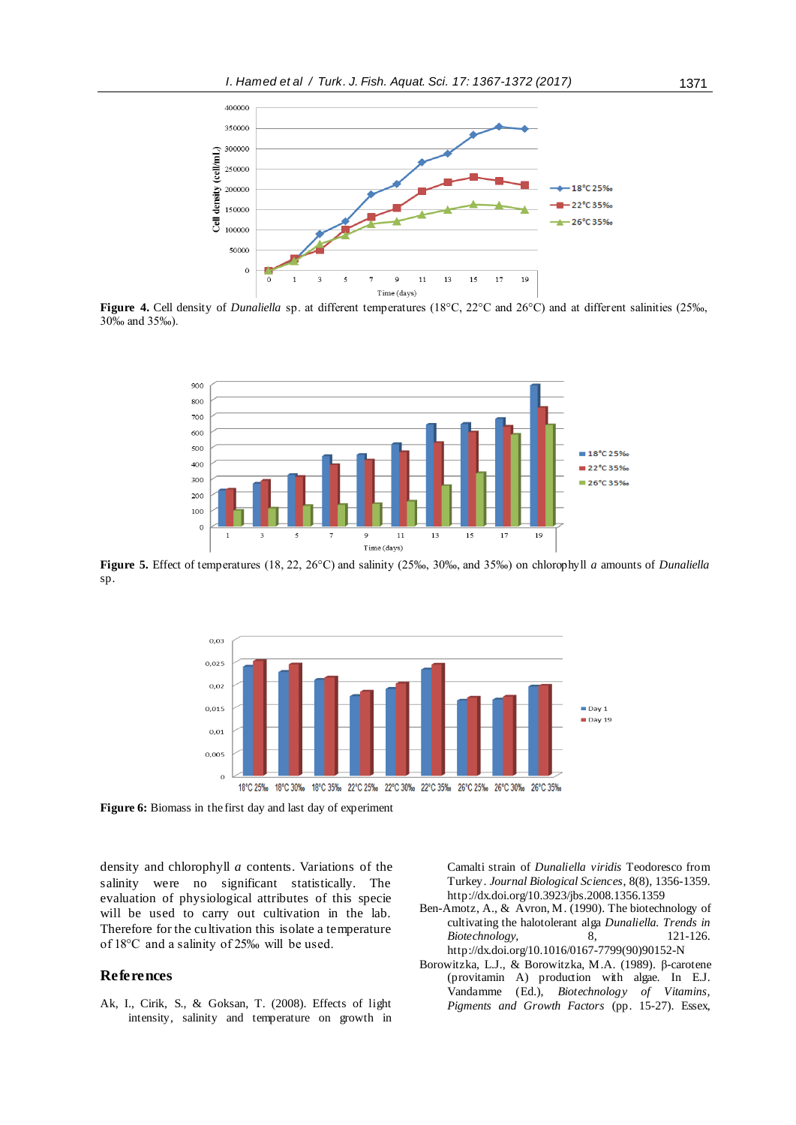

**Figure 4.** Cell density of *Dunaliella* sp. at different temperatures (18°C, 22°C and 26°C) and at different salinities (25‰, 30‰ and 35‰).



**Figure 5.** Effect of temperatures (18, 22, 26°C) and salinity (25‰, 30‰, and 35‰) on chlorophyll *a* amounts of *Dunaliella* sp.



**Figure 6:** Biomass in the first day and last day of experiment

density and chlorophyll *a* contents. Variations of the salinity were no significant statistically. The evaluation of physiological attributes of this specie will be used to carry out cultivation in the lab. Therefore for the cultivation this isolate a temperature of 18°C and a salinity of 25‰ will be used.

# **References**

Ak, I., Cirik, S., & Goksan, T. (2008). Effects of light intensity, salinity and temperature on growth in

Camalti strain of *Dunaliella viridis* Teodoresco from Turkey. *Journal Biological Sciences*, 8(8), 1356-1359. http://dx.doi.or[g/10.3923/jbs.2008.1356.1359](http://dx.doi.org/10.3923/jbs.2008.1356.1359)

- Ben-Amotz, A., & Avron, M. (1990). The biotechnology of cultivating the halotolerant alga *Dunaliella. Trends in Biotechnology*, [8,](http://www.sciencedirect.com/science/journal/01677799/8/supp/C) 121-126. http://dx.doi.org/10.1016/0167-7799(90)90152-N
- Borowitzka, L.J., & Borowitzka, M.A. (1989). β*-*carotene (provitamin A) production with algae. In E.J. Vandamme (Ed.), *Biotechnology of Vitamins, Pigments and Growth Factors* (pp. 15-27). Essex,